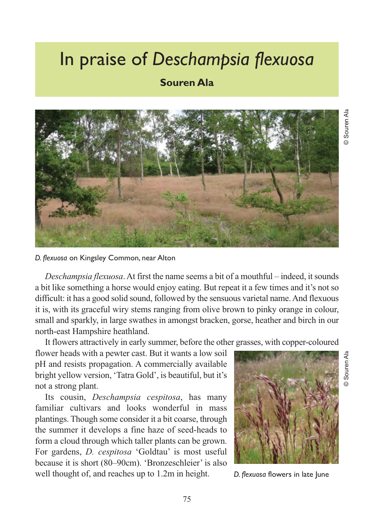## In praise of *Deschampsia flexuosa*

## **Souren Ala**



*D. flexuosa* on Kingsley Common, near Alton

*Deschampsia flexuosa*. At first the name seems a bit of a mouthful – indeed, it sounds a bit like something a horse would enjoy eating. But repeat it a few times and it's not so difficult: it has a good solid sound, followed by the sensuous varietal name. And flexuous it is, with its graceful wiry stems ranging from olive brown to pinky orange in colour, small and sparkly, in large swathes in amongst bracken, gorse, heather and birch in our north-east Hampshire heathland.

It flowers attractively in early summer, before the other grasses, with copper-coloured

flower heads with a pewter cast. But it wants a low soil pH and resists propagation. A commercially available bright yellow version, 'Tatra Gold', is beautiful, but it's not a strong plant.

Its cousin, *Deschampsia cespitosa*, has many familiar cultivars and looks wonderful in mass plantings. Though some consider it a bit coarse, through the summer it develops a fine haze of seed-heads to form a cloud through which taller plants can be grown. For gardens, *D. cespitosa* 'Goldtau' is most useful because it is short (80–90cm). 'Bronzeschleier' is also well thought of, and reaches up to 1.2m in height.



*D. flexuosa* flowers in late June